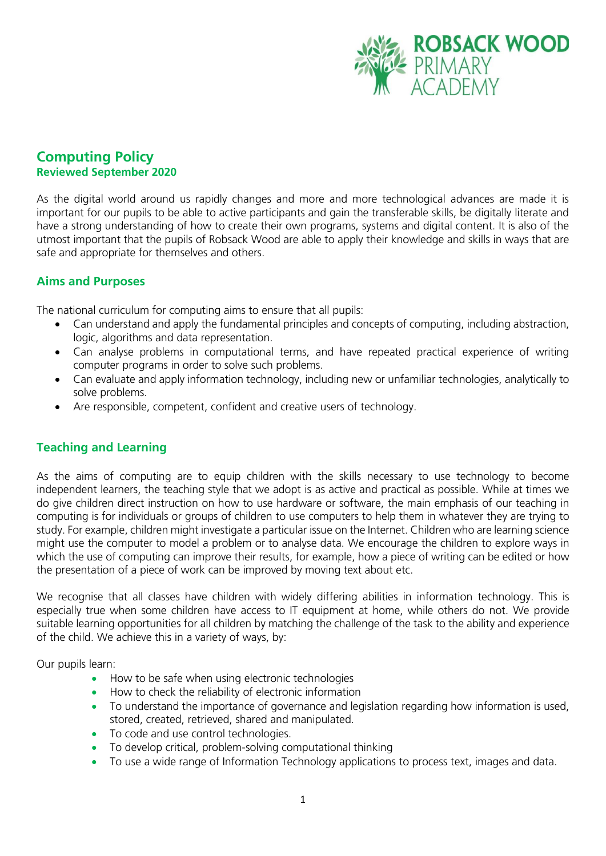

# **Computing Policy Reviewed September 2020**

As the digital world around us rapidly changes and more and more technological advances are made it is important for our pupils to be able to active participants and gain the transferable skills, be digitally literate and have a strong understanding of how to create their own programs, systems and digital content. It is also of the utmost important that the pupils of Robsack Wood are able to apply their knowledge and skills in ways that are safe and appropriate for themselves and others.

### **Aims and Purposes**

The national curriculum for computing aims to ensure that all pupils:

- Can understand and apply the fundamental principles and concepts of computing, including abstraction, logic, algorithms and data representation.
- Can analyse problems in computational terms, and have repeated practical experience of writing computer programs in order to solve such problems.
- Can evaluate and apply information technology, including new or unfamiliar technologies, analytically to solve problems.
- Are responsible, competent, confident and creative users of technology.

#### **Teaching and Learning**

As the aims of computing are to equip children with the skills necessary to use technology to become independent learners, the teaching style that we adopt is as active and practical as possible. While at times we do give children direct instruction on how to use hardware or software, the main emphasis of our teaching in computing is for individuals or groups of children to use computers to help them in whatever they are trying to study. For example, children might investigate a particular issue on the Internet. Children who are learning science might use the computer to model a problem or to analyse data. We encourage the children to explore ways in which the use of computing can improve their results, for example, how a piece of writing can be edited or how the presentation of a piece of work can be improved by moving text about etc.

We recognise that all classes have children with widely differing abilities in information technology. This is especially true when some children have access to IT equipment at home, while others do not. We provide suitable learning opportunities for all children by matching the challenge of the task to the ability and experience of the child. We achieve this in a variety of ways, by:

Our pupils learn:

- How to be safe when using electronic technologies
- How to check the reliability of electronic information
- To understand the importance of governance and legislation regarding how information is used, stored, created, retrieved, shared and manipulated.
- To code and use control technologies.
- To develop critical, problem-solving computational thinking
- To use a wide range of Information Technology applications to process text, images and data.